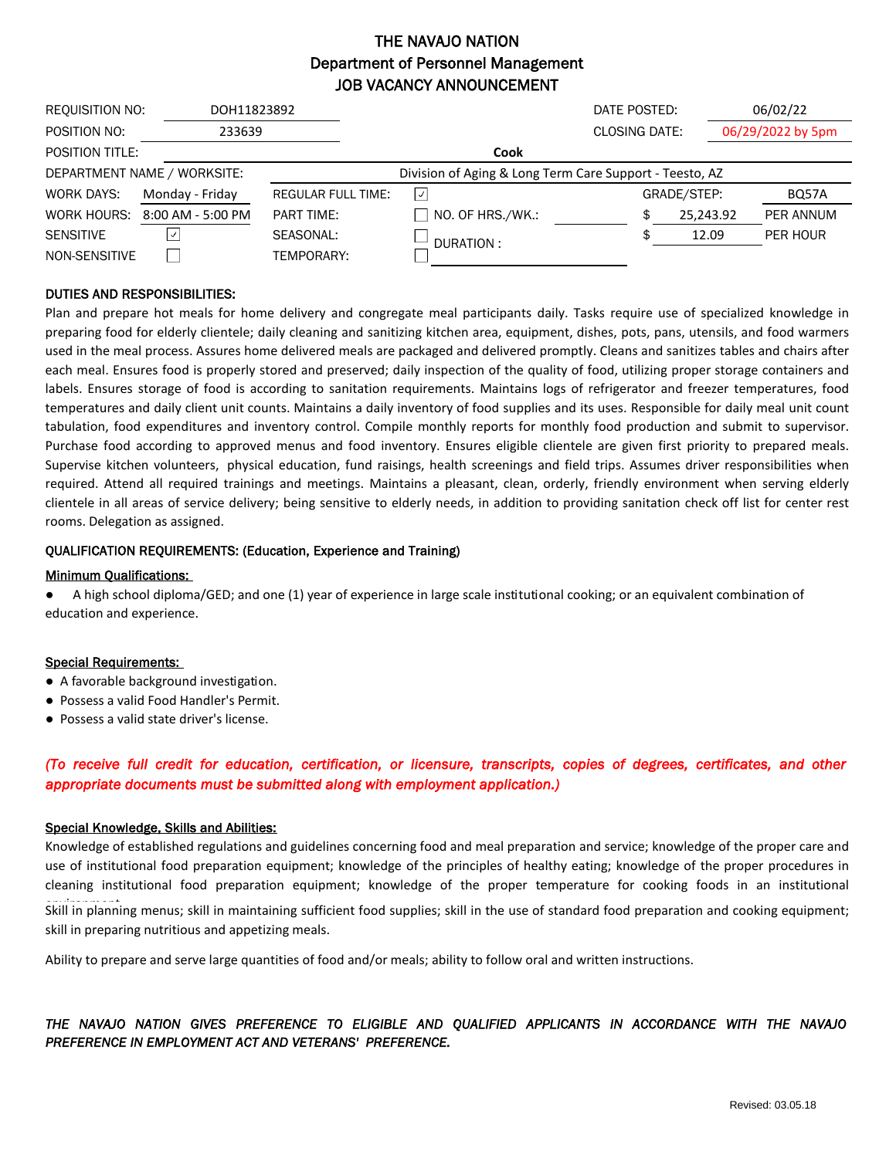## THE NAVAJO NATION Department of Personnel Management JOB VACANCY ANNOUNCEMENT

| REQUISITION NO:  | DOH11823892                 |                           |                                                         | DATE POSTED:         |             | 06/02/22          |  |
|------------------|-----------------------------|---------------------------|---------------------------------------------------------|----------------------|-------------|-------------------|--|
| POSITION NO:     | 233639                      |                           |                                                         | <b>CLOSING DATE:</b> |             | 06/29/2022 by 5pm |  |
| POSITION TITLE:  |                             |                           | Cook                                                    |                      |             |                   |  |
|                  | DEPARTMENT NAME / WORKSITE: |                           | Division of Aging & Long Term Care Support - Teesto, AZ |                      |             |                   |  |
| WORK DAYS:       | Monday - Friday             | <b>REGULAR FULL TIME:</b> | $\checkmark$                                            |                      | GRADE/STEP: | BQ57A             |  |
| WORK HOURS:      | $8:00$ AM - 5:00 PM         | <b>PART TIME:</b>         | NO. OF HRS./WK.:                                        | \$                   | 25,243.92   | PER ANNUM         |  |
| <b>SENSITIVE</b> | √                           | SEASONAL:                 | DURATION:                                               |                      | 12.09       | PER HOUR          |  |
| NON-SENSITIVE    |                             | TEMPORARY:                |                                                         |                      |             |                   |  |

## DUTIES AND RESPONSIBILITIES:

Plan and prepare hot meals for home delivery and congregate meal participants daily. Tasks require use of specialized knowledge in preparing food for elderly clientele; daily cleaning and sanitizing kitchen area, equipment, dishes, pots, pans, utensils, and food warmers used in the meal process. Assures home delivered meals are packaged and delivered promptly. Cleans and sanitizes tables and chairs after each meal. Ensures food is properly stored and preserved; daily inspection of the quality of food, utilizing proper storage containers and labels. Ensures storage of food is according to sanitation requirements. Maintains logs of refrigerator and freezer temperatures, food temperatures and daily client unit counts. Maintains a daily inventory of food supplies and its uses. Responsible for daily meal unit count tabulation, food expenditures and inventory control. Compile monthly reports for monthly food production and submit to supervisor. Purchase food according to approved menus and food inventory. Ensures eligible clientele are given first priority to prepared meals. Supervise kitchen volunteers, physical education, fund raisings, health screenings and field trips. Assumes driver responsibilities when required. Attend all required trainings and meetings. Maintains a pleasant, clean, orderly, friendly environment when serving elderly clientele in all areas of service delivery; being sensitive to elderly needs, in addition to providing sanitation check off list for center rest rooms. Delegation as assigned.

### QUALIFICATION REQUIREMENTS: (Education, Experience and Training)

#### Minimum Qualifications:

● A high school diploma/GED; and one (1) year of experience in large scale institutional cooking; or an equivalent combination of education and experience.

#### Special Requirements:

- A favorable background investigation.
- Possess a valid Food Handler's Permit.
- Possess a valid state driver's license.

## (To receive full credit for education, certification, or licensure, transcripts, copies of degrees, certificates, and other *appropriate documents must be submitted along with employment application.)*

#### Special Knowledge, Skills and Abilities:

Knowledge of established regulations and guidelines concerning food and meal preparation and service; knowledge of the proper care and use of institutional food preparation equipment; knowledge of the principles of healthy eating; knowledge of the proper procedures in cleaning institutional food preparation equipment; knowledge of the proper temperature for cooking foods in an institutional

Skill in planning menus; skill in maintaining sufficient food supplies; skill in the use of standard food preparation and cooking equipment; skill in preparing nutritious and appetizing meals.

Ability to prepare and serve large quantities of food and/or meals; ability to follow oral and written instructions.

## *THE NAVAJO NATION GIVES PREFERENCE TO ELIGIBLE AND QUALIFIED APPLICANTS IN ACCORDANCE WITH THE NAVAJO PREFERENCE IN EMPLOYMENT ACT AND VETERANS' PREFERENCE.*